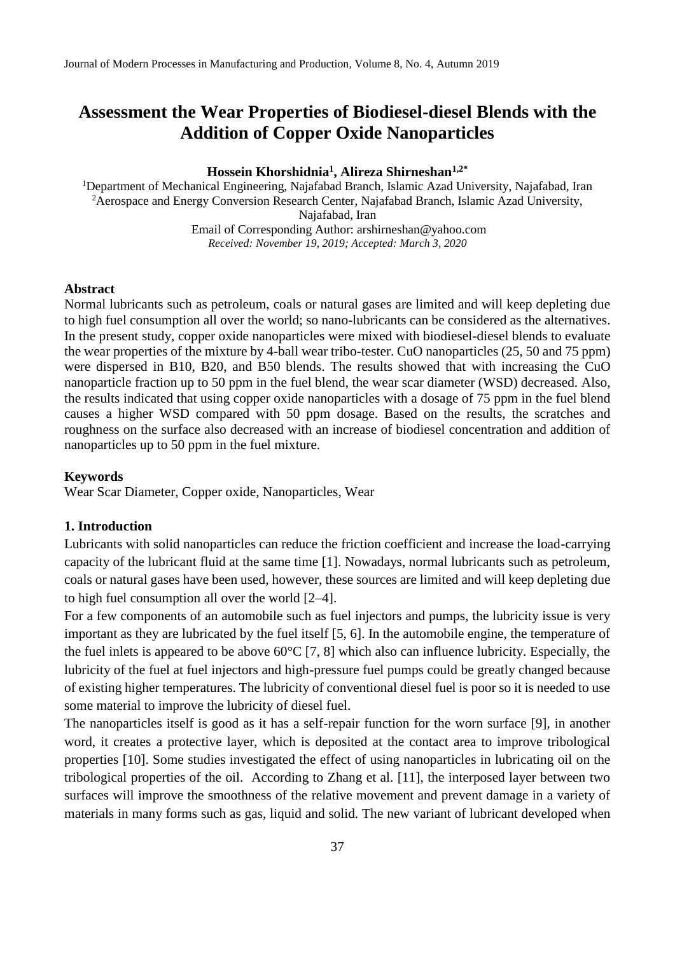## **Hossein Khorshidnia<sup>1</sup> , Alireza Shirneshan1,2\***

<sup>1</sup>Department of Mechanical Engineering, Najafabad Branch, Islamic Azad University, Najafabad, Iran <sup>2</sup> Aerospace and Energy Conversion Research Center, Najafabad Branch, Islamic Azad University, Najafabad, Iran Email of Corresponding Author: arshirneshan@yahoo.com *Received: November 19, 2019; Accepted: March 3, 2020*

#### **Abstract**

Normal lubricants such as petroleum, coals or natural gases are limited and will keep depleting due to high fuel consumption all over the world; so nano-lubricants can be considered as the alternatives. In the present study, copper oxide nanoparticles were mixed with biodiesel-diesel blends to evaluate the wear properties of the mixture by 4-ball wear tribo-tester. CuO nanoparticles (25, 50 and 75 ppm) were dispersed in B10, B20, and B50 blends. The results showed that with increasing the CuO nanoparticle fraction up to 50 ppm in the fuel blend, the wear scar diameter (WSD) decreased. Also, the results indicated that using copper oxide nanoparticles with a dosage of 75 ppm in the fuel blend causes a higher WSD compared with 50 ppm dosage. Based on the results, the scratches and roughness on the surface also decreased with an increase of biodiesel concentration and addition of nanoparticles up to 50 ppm in the fuel mixture.

#### **Keywords**

Wear Scar Diameter, Copper oxide, Nanoparticles, Wear

## **1. Introduction**

Lubricants with solid nanoparticles can reduce the friction coefficient and increase the load-carrying capacity of the lubricant fluid at the same time [1]. Nowadays, normal lubricants such as petroleum, coals or natural gases have been used, however, these sources are limited and will keep depleting due to high fuel consumption all over the world [2–4].

For a few components of an automobile such as fuel injectors and pumps, the lubricity issue is very important as they are lubricated by the fuel itself [5, 6]. In the automobile engine, the temperature of the fuel inlets is appeared to be above  $60^{\circ}$ C [7, 8] which also can influence lubricity. Especially, the lubricity of the fuel at fuel injectors and high-pressure fuel pumps could be greatly changed because of existing higher temperatures. The lubricity of conventional diesel fuel is poor so it is needed to use some material to improve the lubricity of diesel fuel.

The nanoparticles itself is good as it has a self-repair function for the worn surface [9], in another word, it creates a protective layer, which is deposited at the contact area to improve tribological properties [10]. Some studies investigated the effect of using nanoparticles in lubricating oil on the tribological properties of the oil. According to Zhang et al. [11], the interposed layer between two surfaces will improve the smoothness of the relative movement and prevent damage in a variety of materials in many forms such as gas, liquid and solid. The new variant of lubricant developed when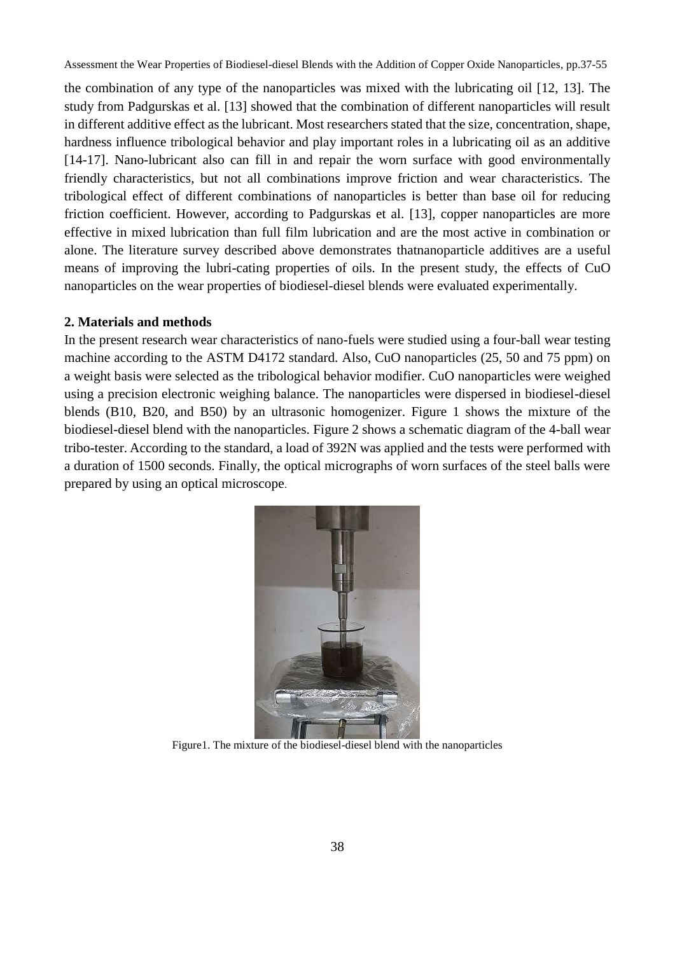the combination of any type of the nanoparticles was mixed with the lubricating oil [12, 13]. The study from Padgurskas et al. [13] showed that the combination of different nanoparticles will result in different additive effect as the lubricant. Most researchers stated that the size, concentration, shape, hardness influence tribological behavior and play important roles in a lubricating oil as an additive [14-17]. Nano-lubricant also can fill in and repair the worn surface with good environmentally friendly characteristics, but not all combinations improve friction and wear characteristics. The tribological effect of different combinations of nanoparticles is better than base oil for reducing friction coefficient. However, according to Padgurskas et al. [13], copper nanoparticles are more effective in mixed lubrication than full film lubrication and are the most active in combination or alone. The literature survey described above demonstrates thatnanoparticle additives are a useful means of improving the lubri-cating properties of oils. In the present study, the effects of CuO nanoparticles on the wear properties of biodiesel-diesel blends were evaluated experimentally.

## **2. Materials and methods**

In the present research wear characteristics of nano-fuels were studied using a four-ball wear testing machine according to the ASTM D4172 standard. Also, CuO nanoparticles (25, 50 and 75 ppm) on a weight basis were selected as the tribological behavior modifier. CuO nanoparticles were weighed using a precision electronic weighing balance. The nanoparticles were dispersed in biodiesel-diesel blends (B10, B20, and B50) by an ultrasonic homogenizer. Figure 1 shows the mixture of the biodiesel-diesel blend with the nanoparticles. Figure 2 shows a schematic diagram of the 4-ball wear tribo-tester. According to the standard, a load of 392N was applied and the tests were performed with a duration of 1500 seconds. Finally, the optical micrographs of worn surfaces of the steel balls were prepared by using an optical microscope.



Figure1. The mixture of the biodiesel-diesel blend with the nanoparticles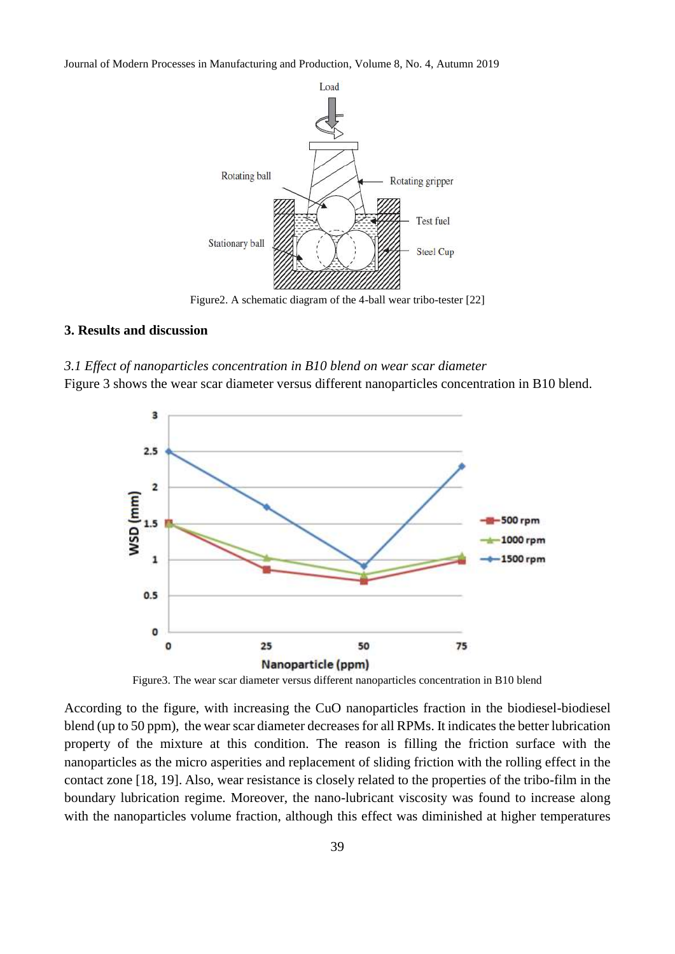

Figure2. A schematic diagram of the 4-ball wear tribo-tester [22]

## **3. Results and discussion**

#### *3.1 Effect of nanoparticles concentration in B10 blend on wear scar diameter*

Figure 3 shows the wear scar diameter versus different nanoparticles concentration in B10 blend.



Figure3. The wear scar diameter versus different nanoparticles concentration in B10 blend

According to the figure, with increasing the CuO nanoparticles fraction in the biodiesel-biodiesel blend (up to 50 ppm), the wear scar diameter decreases for all RPMs. It indicates the better lubrication property of the mixture at this condition. The reason is filling the friction surface with the nanoparticles as the micro asperities and replacement of sliding friction with the rolling effect in the contact zone [18, 19]. Also, wear resistance is closely related to the properties of the tribo-film in the boundary lubrication regime. Moreover, the nano-lubricant viscosity was found to increase along with the nanoparticles volume fraction, although this effect was diminished at higher temperatures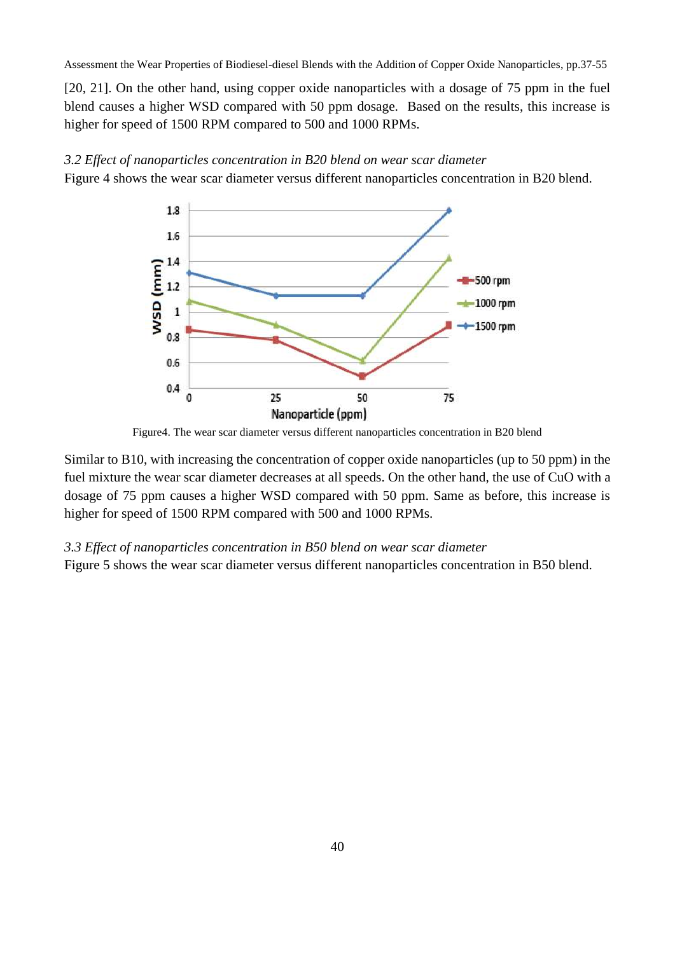[20, 21]. On the other hand, using copper oxide nanoparticles with a dosage of 75 ppm in the fuel blend causes a higher WSD compared with 50 ppm dosage. Based on the results, this increase is higher for speed of 1500 RPM compared to 500 and 1000 RPMs.



*3.2 Effect of nanoparticles concentration in B20 blend on wear scar diameter*

Figure 4 shows the wear scar diameter versus different nanoparticles concentration in B20 blend.

Figure4. The wear scar diameter versus different nanoparticles concentration in B20 blend

Similar to B10, with increasing the concentration of copper oxide nanoparticles (up to 50 ppm) in the fuel mixture the wear scar diameter decreases at all speeds. On the other hand, the use of CuO with a dosage of 75 ppm causes a higher WSD compared with 50 ppm. Same as before, this increase is higher for speed of 1500 RPM compared with 500 and 1000 RPMs.

## *3.3 Effect of nanoparticles concentration in B50 blend on wear scar diameter*

Figure 5 shows the wear scar diameter versus different nanoparticles concentration in B50 blend.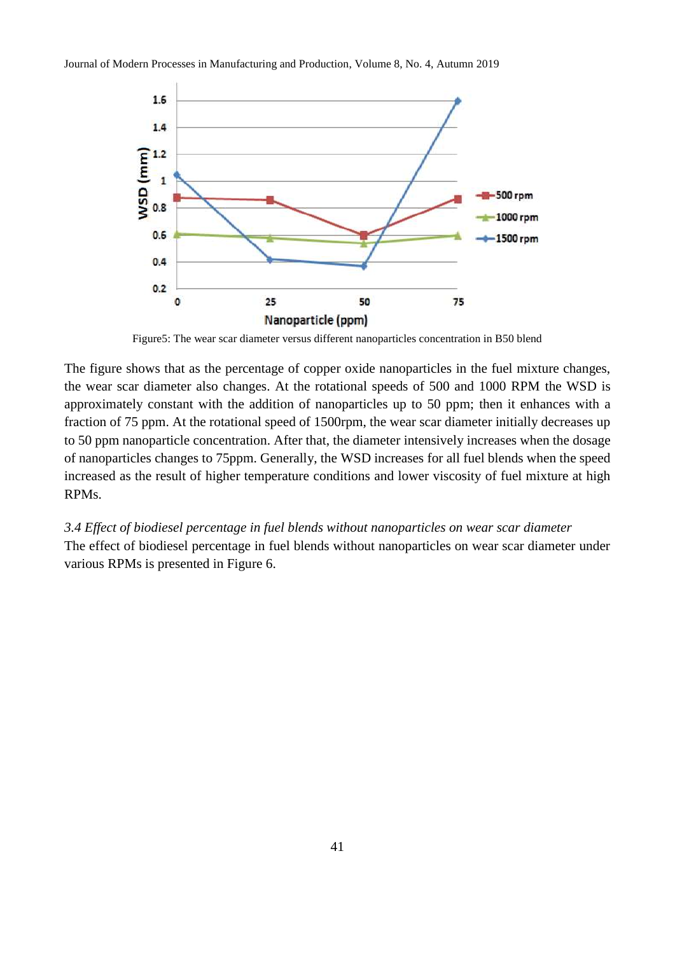

Figure5: The wear scar diameter versus different nanoparticles concentration in B50 blend

The figure shows that as the percentage of copper oxide nanoparticles in the fuel mixture changes, the wear scar diameter also changes. At the rotational speeds of 500 and 1000 RPM the WSD is approximately constant with the addition of nanoparticles up to 50 ppm; then it enhances with a fraction of 75 ppm. At the rotational speed of 1500rpm, the wear scar diameter initially decreases up to 50 ppm nanoparticle concentration. After that, the diameter intensively increases when the dosage of nanoparticles changes to 75ppm. Generally, the WSD increases for all fuel blends when the speed increased as the result of higher temperature conditions and lower viscosity of fuel mixture at high RPMs.

*3.4 Effect of biodiesel percentage in fuel blends without nanoparticles on wear scar diameter* The effect of biodiesel percentage in fuel blends without nanoparticles on wear scar diameter under various RPMs is presented in Figure 6.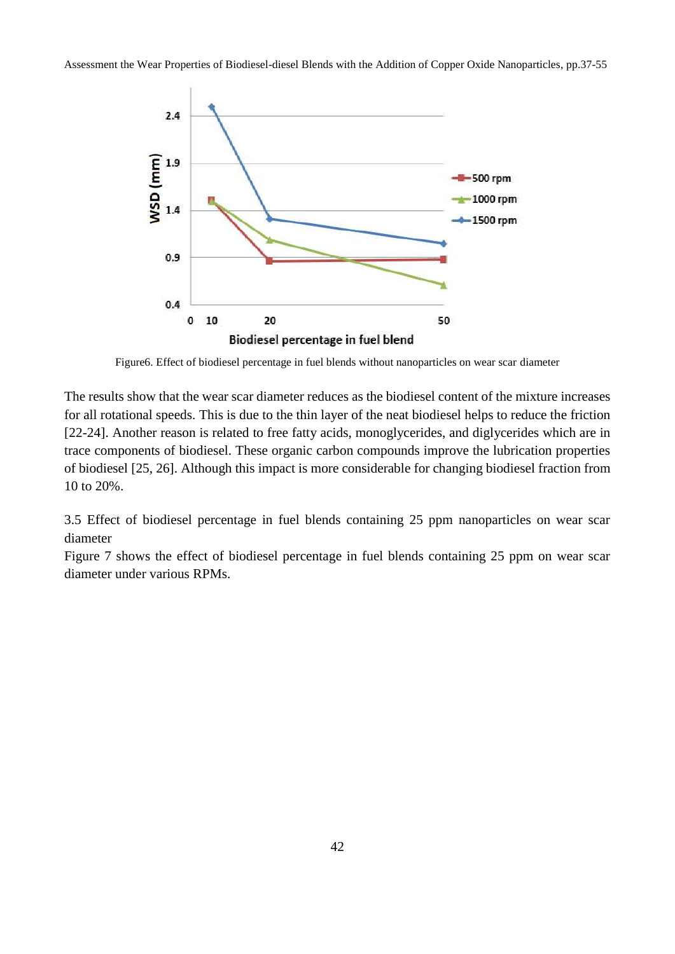

Figure6. Effect of biodiesel percentage in fuel blends without nanoparticles on wear scar diameter

The results show that the wear scar diameter reduces as the biodiesel content of the mixture increases for all rotational speeds. This is due to the thin layer of the neat biodiesel helps to reduce the friction [22-24]. Another reason is related to free fatty acids, monoglycerides, and diglycerides which are in trace components of biodiesel. These organic carbon compounds improve the lubrication properties of biodiesel [25, 26]. Although this impact is more considerable for changing biodiesel fraction from 10 to 20%.

3.5 Effect of biodiesel percentage in fuel blends containing 25 ppm nanoparticles on wear scar diameter

Figure 7 shows the effect of biodiesel percentage in fuel blends containing 25 ppm on wear scar diameter under various RPMs.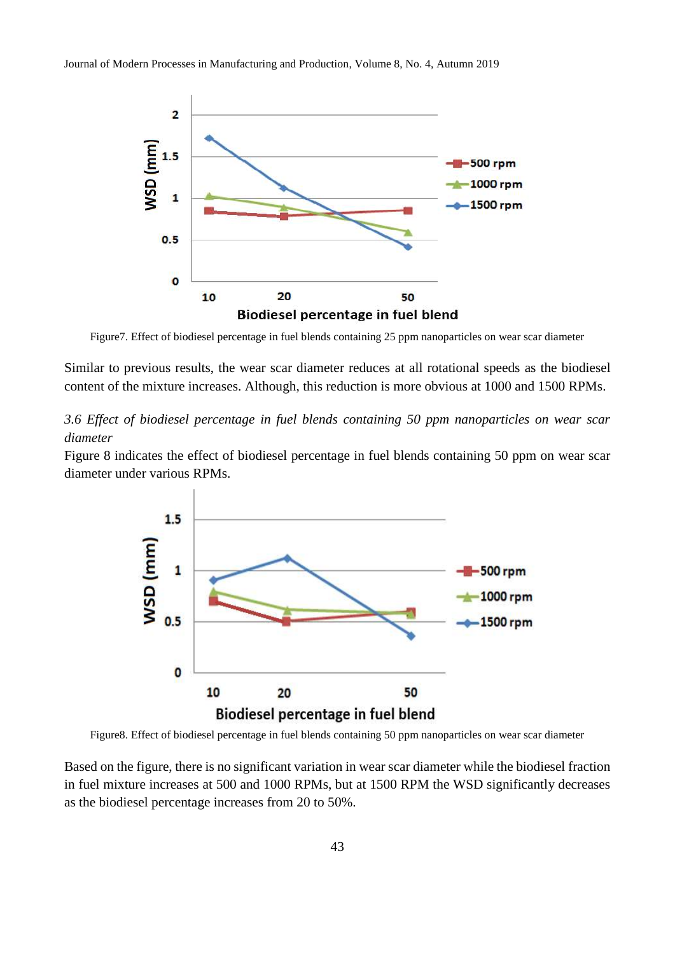

Figure7. Effect of biodiesel percentage in fuel blends containing 25 ppm nanoparticles on wear scar diameter

Similar to previous results, the wear scar diameter reduces at all rotational speeds as the biodiesel content of the mixture increases. Although, this reduction is more obvious at 1000 and 1500 RPMs.

*3.6 Effect of biodiesel percentage in fuel blends containing 50 ppm nanoparticles on wear scar diameter*

Figure 8 indicates the effect of biodiesel percentage in fuel blends containing 50 ppm on wear scar diameter under various RPMs.



Figure8. Effect of biodiesel percentage in fuel blends containing 50 ppm nanoparticles on wear scar diameter

Based on the figure, there is no significant variation in wear scar diameter while the biodiesel fraction in fuel mixture increases at 500 and 1000 RPMs, but at 1500 RPM the WSD significantly decreases as the biodiesel percentage increases from 20 to 50%.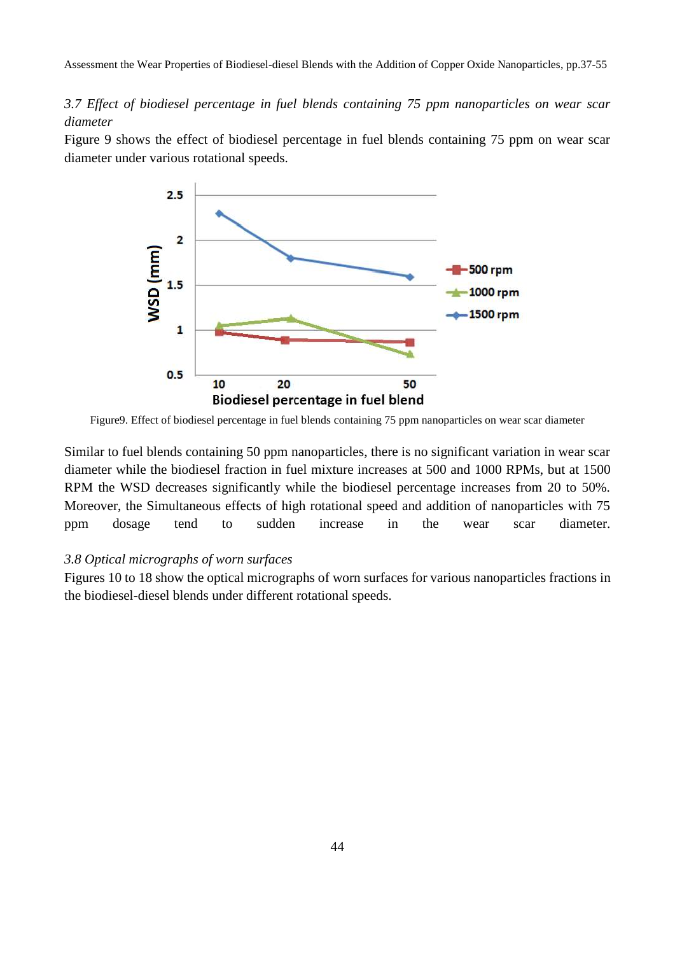*3.7 Effect of biodiesel percentage in fuel blends containing 75 ppm nanoparticles on wear scar diameter*

Figure 9 shows the effect of biodiesel percentage in fuel blends containing 75 ppm on wear scar diameter under various rotational speeds.



Figure9. Effect of biodiesel percentage in fuel blends containing 75 ppm nanoparticles on wear scar diameter

Similar to fuel blends containing 50 ppm nanoparticles, there is no significant variation in wear scar diameter while the biodiesel fraction in fuel mixture increases at 500 and 1000 RPMs, but at 1500 RPM the WSD decreases significantly while the biodiesel percentage increases from 20 to 50%. Moreover, the Simultaneous effects of high rotational speed and addition of nanoparticles with 75 ppm dosage tend to sudden increase in the wear scar diameter.

## *3.8 Optical micrographs of worn surfaces*

Figures 10 to 18 show the optical micrographs of worn surfaces for various nanoparticles fractions in the biodiesel-diesel blends under different rotational speeds.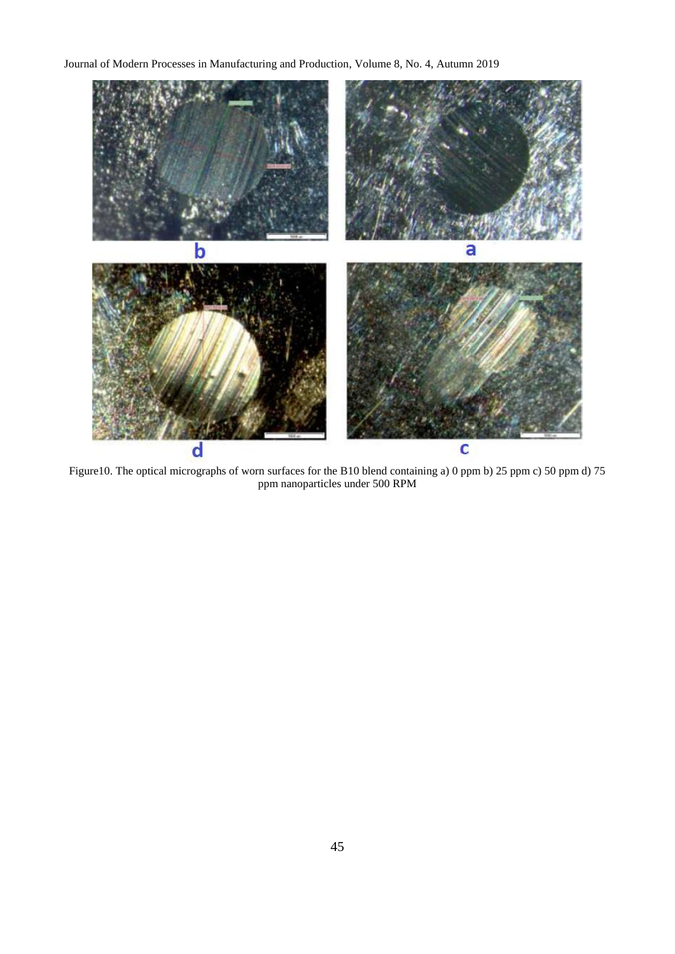

Figure10. The optical micrographs of worn surfaces for the B10 blend containing a) 0 ppm b) 25 ppm c) 50 ppm d) 75 ppm nanoparticles under 500 RPM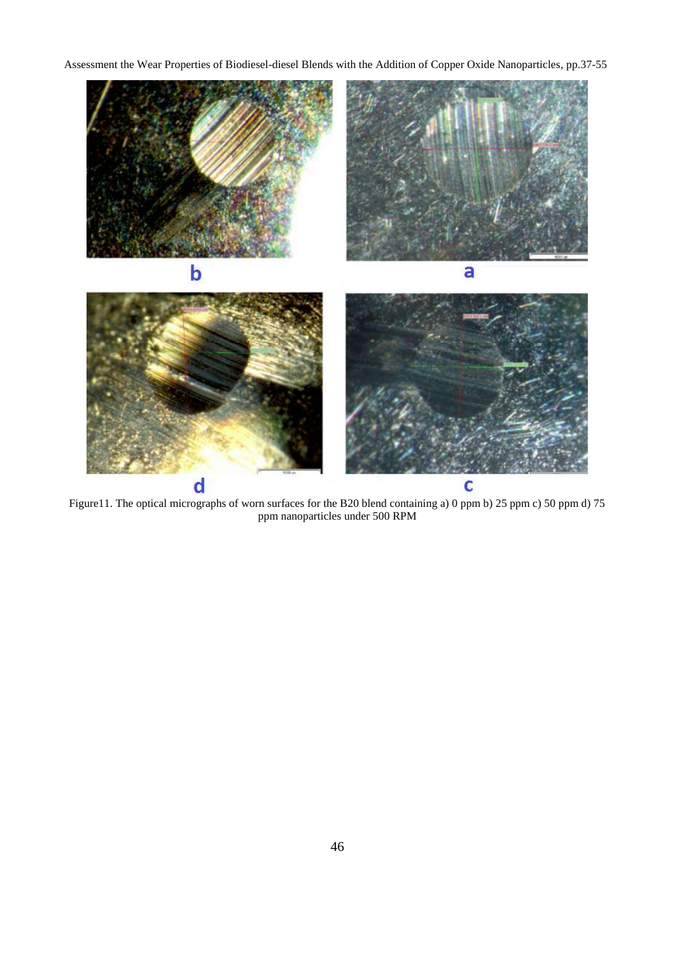

Figure11. The optical micrographs of worn surfaces for the B20 blend containing a) 0 ppm b) 25 ppm c) 50 ppm d) 75 ppm nanoparticles under 500 RPM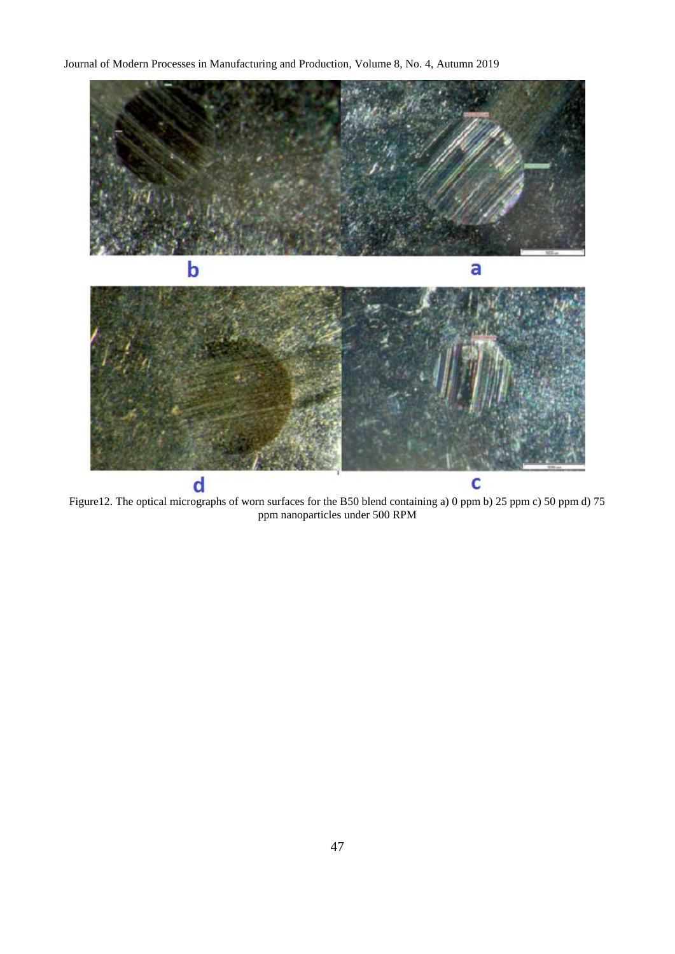

Figure12. The optical micrographs of worn surfaces for the B50 blend containing a) 0 ppm b) 25 ppm c) 50 ppm d) 75 ppm nanoparticles under 500 RPM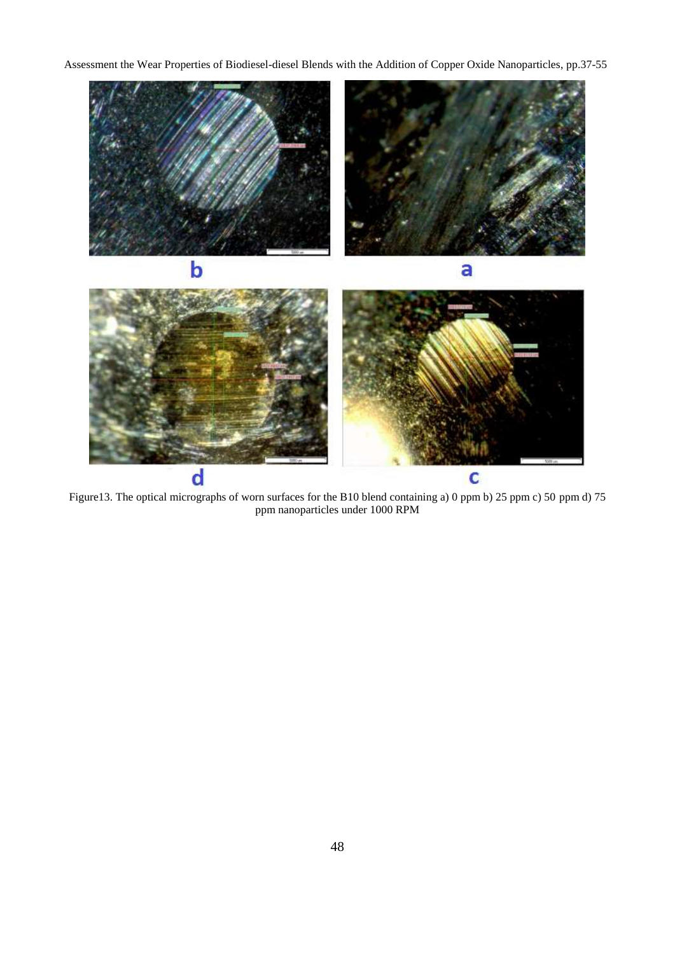

Figure13. The optical micrographs of worn surfaces for the B10 blend containing a) 0 ppm b) 25 ppm c) 50 ppm d) 75 ppm nanoparticles under 1000 RPM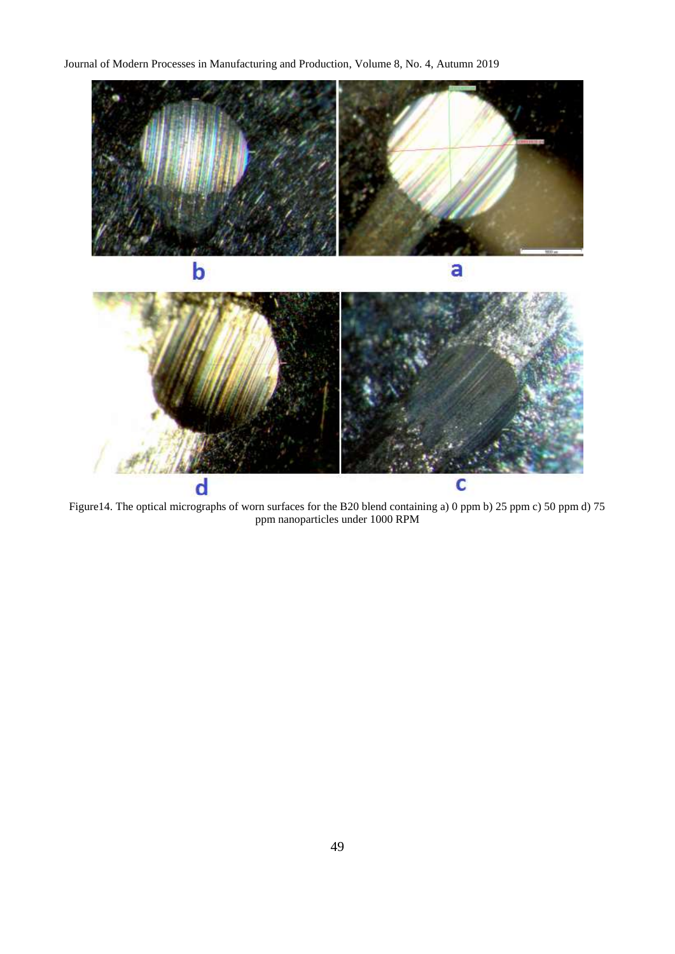

Figure14. The optical micrographs of worn surfaces for the B20 blend containing a) 0 ppm b) 25 ppm c) 50 ppm d) 75 ppm nanoparticles under 1000 RPM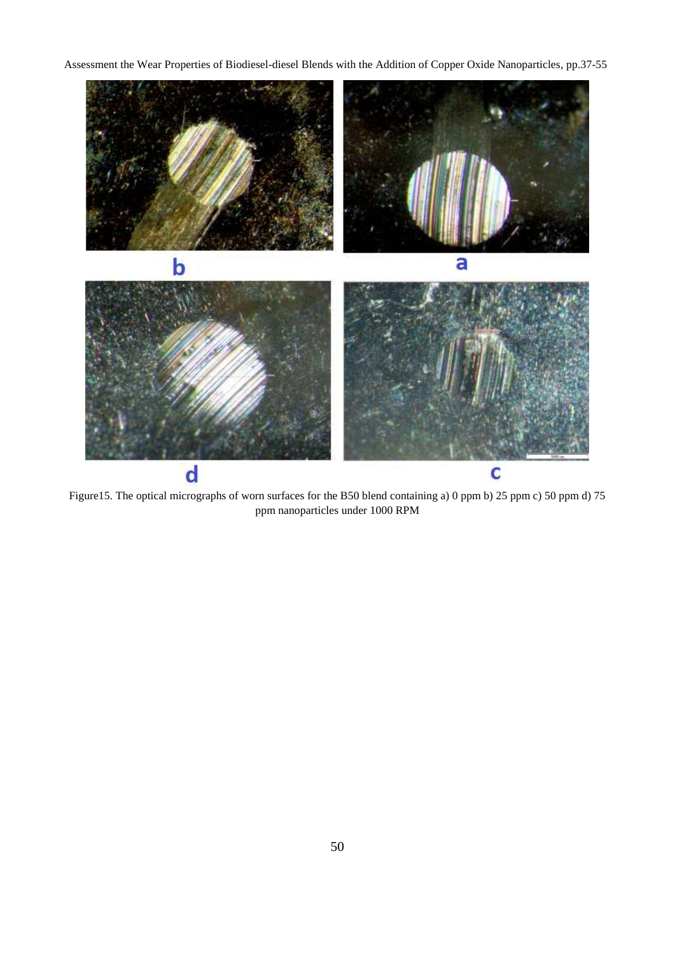

Figure15. The optical micrographs of worn surfaces for the B50 blend containing a) 0 ppm b) 25 ppm c) 50 ppm d) 75 ppm nanoparticles under 1000 RPM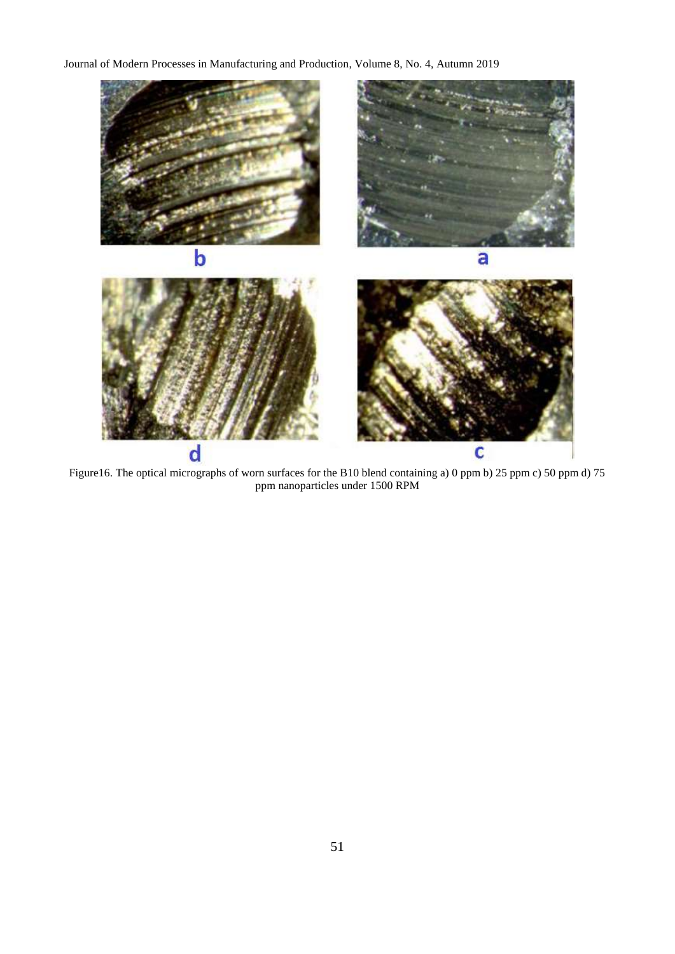

Figure16. The optical micrographs of worn surfaces for the B10 blend containing a) 0 ppm b) 25 ppm c) 50 ppm d) 75 ppm nanoparticles under 1500 RPM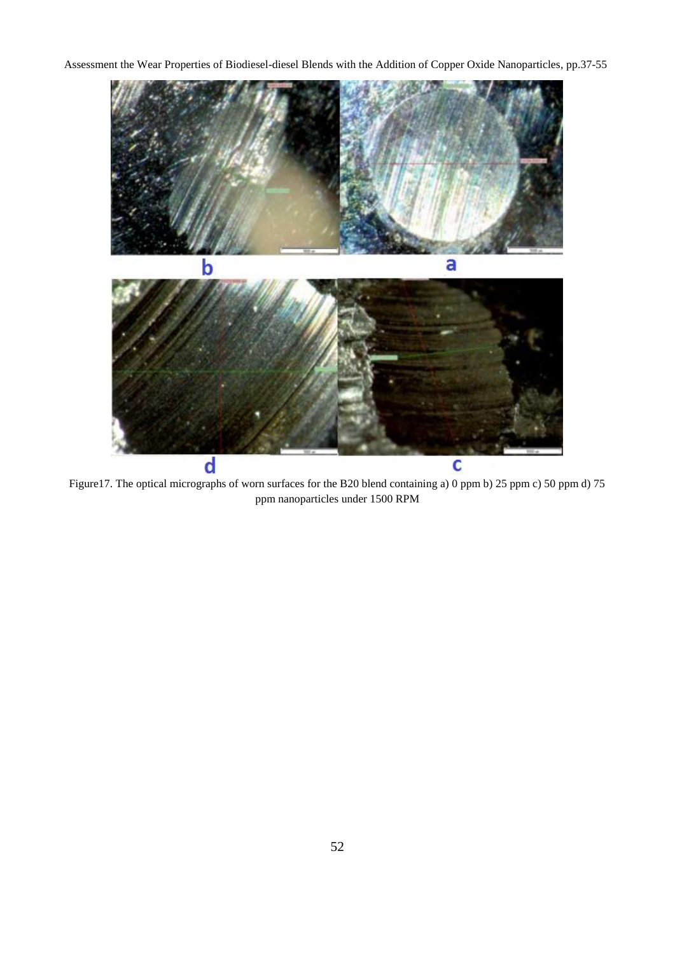

Figure17. The optical micrographs of worn surfaces for the B20 blend containing a) 0 ppm b) 25 ppm c) 50 ppm d) 75 ppm nanoparticles under 1500 RPM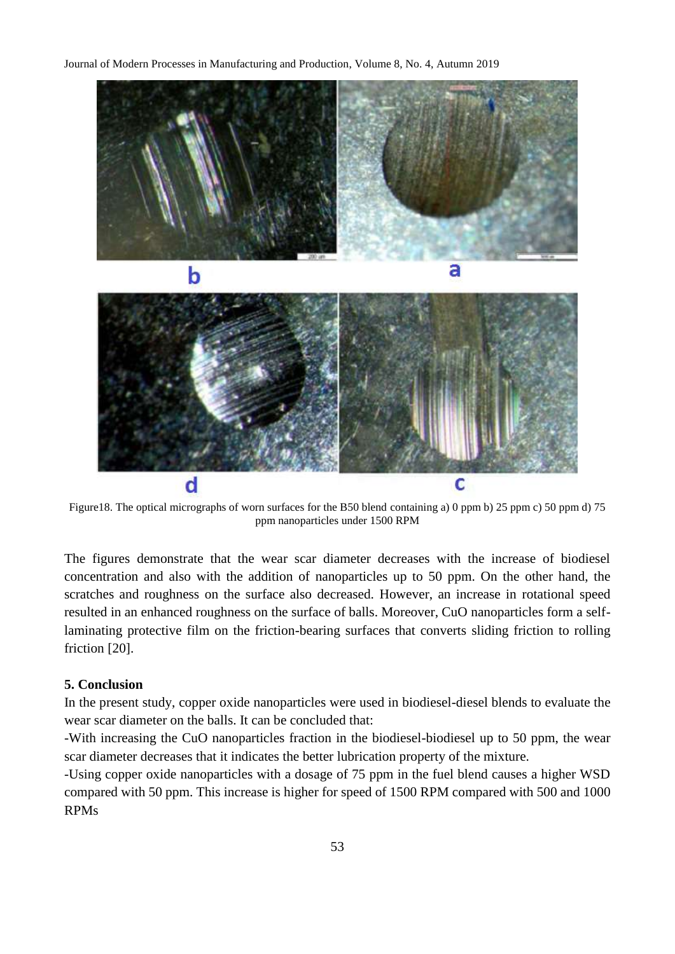

Figure18. The optical micrographs of worn surfaces for the B50 blend containing a) 0 ppm b) 25 ppm c) 50 ppm d) 75 ppm nanoparticles under 1500 RPM

The figures demonstrate that the wear scar diameter decreases with the increase of biodiesel concentration and also with the addition of nanoparticles up to 50 ppm. On the other hand, the scratches and roughness on the surface also decreased. However, an increase in rotational speed resulted in an enhanced roughness on the surface of balls. Moreover, CuO nanoparticles form a selflaminating protective film on the friction-bearing surfaces that converts sliding friction to rolling friction [20].

#### **5. Conclusion**

In the present study, copper oxide nanoparticles were used in biodiesel-diesel blends to evaluate the wear scar diameter on the balls. It can be concluded that:

-With increasing the CuO nanoparticles fraction in the biodiesel-biodiesel up to 50 ppm, the wear scar diameter decreases that it indicates the better lubrication property of the mixture.

-Using copper oxide nanoparticles with a dosage of 75 ppm in the fuel blend causes a higher WSD compared with 50 ppm. This increase is higher for speed of 1500 RPM compared with 500 and 1000 RPMs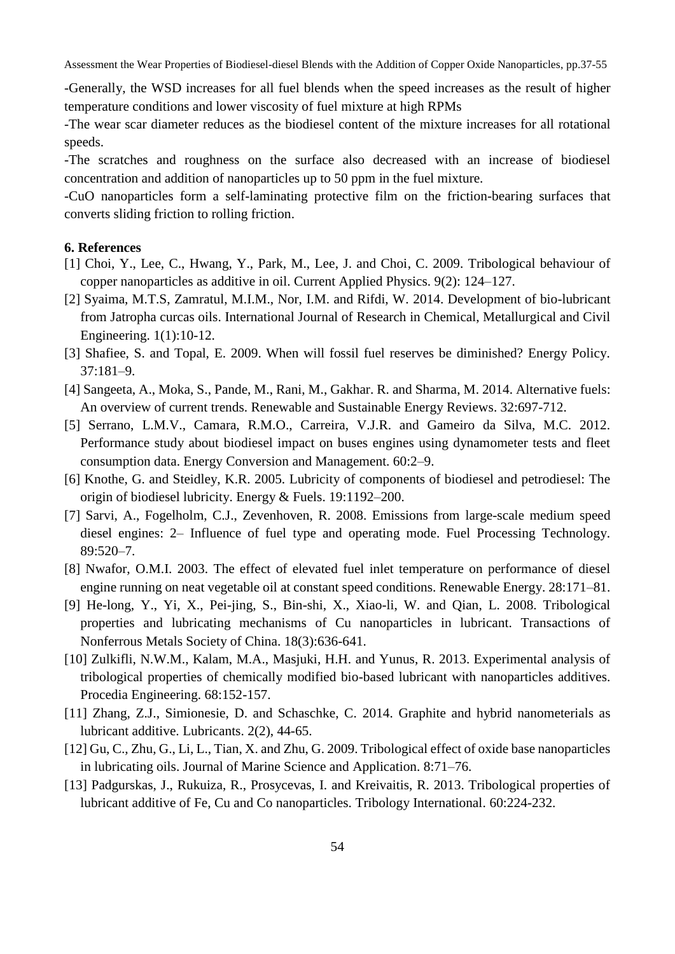-Generally, the WSD increases for all fuel blends when the speed increases as the result of higher temperature conditions and lower viscosity of fuel mixture at high RPMs

-The wear scar diameter reduces as the biodiesel content of the mixture increases for all rotational speeds.

-The scratches and roughness on the surface also decreased with an increase of biodiesel concentration and addition of nanoparticles up to 50 ppm in the fuel mixture.

-CuO nanoparticles form a self-laminating protective film on the friction-bearing surfaces that converts sliding friction to rolling friction.

#### **6. References**

- [1] Choi, Y., Lee, C., Hwang, Y., Park, M., Lee, J. and Choi, C. 2009. Tribological behaviour of copper nanoparticles as additive in oil. Current Applied Physics. 9(2): 124–127.
- [2] Syaima, M.T.S, Zamratul, M.I.M., Nor, I.M. and Rifdi, W. 2014. Development of bio-lubricant from Jatropha curcas oils. International Journal of Research in Chemical, Metallurgical and Civil Engineering. 1(1):10-12.
- [3] Shafiee, S. and Topal, E. 2009. When will fossil fuel reserves be diminished? Energy Policy. 37:181–9.
- [4] Sangeeta, A., Moka, S., Pande, M., Rani, M., Gakhar. R. and Sharma, M. 2014. Alternative fuels: An overview of current trends. Renewable and Sustainable Energy Reviews. 32:697-712.
- [5] Serrano, L.M.V., Camara, R.M.O., Carreira, V.J.R. and Gameiro da Silva, M.C. 2012. Performance study about biodiesel impact on buses engines using dynamometer tests and fleet consumption data. Energy Conversion and Management. 60:2–9.
- [6] Knothe, G. and Steidley, K.R. 2005. Lubricity of components of biodiesel and petrodiesel: The origin of biodiesel lubricity. Energy & Fuels. 19:1192–200.
- [7] Sarvi, A., Fogelholm, C.J., Zevenhoven, R. 2008. Emissions from large-scale medium speed diesel engines: 2– Influence of fuel type and operating mode. Fuel Processing Technology. 89:520–7.
- [8] Nwafor, O.M.I. 2003. The effect of elevated fuel inlet temperature on performance of diesel engine running on neat vegetable oil at constant speed conditions. Renewable Energy. 28:171–81.
- [9] He-long, Y., Yi, X., Pei-jing, S., Bin-shi, X., Xiao-li, W. and Qian, L. 2008. Tribological properties and lubricating mechanisms of Cu nanoparticles in lubricant. Transactions of Nonferrous Metals Society of China. 18(3):636-641.
- [10] Zulkifli, N.W.M., Kalam, M.A., Masjuki, H.H. and Yunus, R. 2013. Experimental analysis of tribological properties of chemically modified bio-based lubricant with nanoparticles additives. Procedia Engineering. 68:152-157.
- [11] Zhang, Z.J., Simionesie, D. and Schaschke, C. 2014. Graphite and hybrid nanometerials as lubricant additive. Lubricants. 2(2), 44-65.
- [12] Gu, C., Zhu, G., Li, L., Tian, X. and Zhu, G. 2009. Tribological effect of oxide base nanoparticles in lubricating oils. Journal of Marine Science and Application. 8:71–76.
- [13] Padgurskas, J., Rukuiza, R., Prosycevas, I. and Kreivaitis, R. 2013. Tribological properties of lubricant additive of Fe, Cu and Co nanoparticles. Tribology International. 60:224-232.